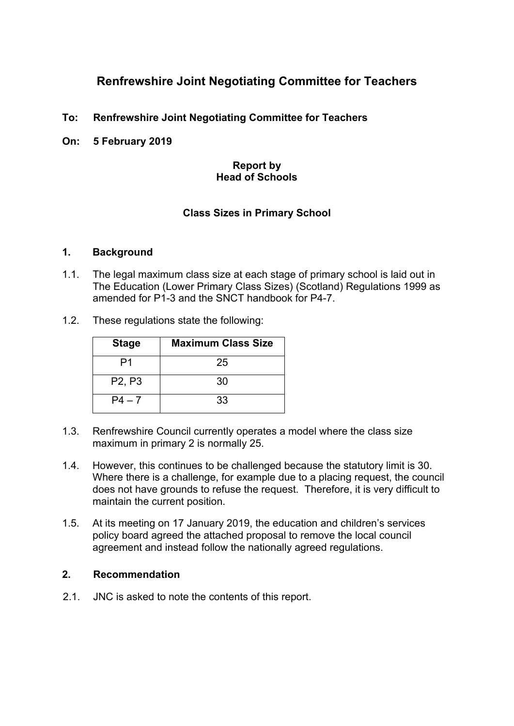# **Renfrewshire Joint Negotiating Committee for Teachers**

- **To: Renfrewshire Joint Negotiating Committee for Teachers**
- **On: 5 February 2019**

#### **Report by Head of Schools**

### **Class Sizes in Primary School**

#### **1. Background**

- 1.1. The legal maximum class size at each stage of primary school is laid out in The Education (Lower Primary Class Sizes) (Scotland) Regulations 1999 as amended for P1-3 and the SNCT handbook for P4-7.
- 1.2. These regulations state the following:

| <b>Stage</b>                    | <b>Maximum Class Size</b> |
|---------------------------------|---------------------------|
| P1                              | 25                        |
| P <sub>2</sub> , P <sub>3</sub> | 30                        |
| $P4 - 7$                        | 33                        |

- 1.3. Renfrewshire Council currently operates a model where the class size maximum in primary 2 is normally 25.
- 1.4. However, this continues to be challenged because the statutory limit is 30. Where there is a challenge, for example due to a placing request, the council does not have grounds to refuse the request. Therefore, it is very difficult to maintain the current position.
- 1.5. At its meeting on 17 January 2019, the education and children's services policy board agreed the attached proposal to remove the local council agreement and instead follow the nationally agreed regulations.

#### **2. Recommendation**

2.1. JNC is asked to note the contents of this report.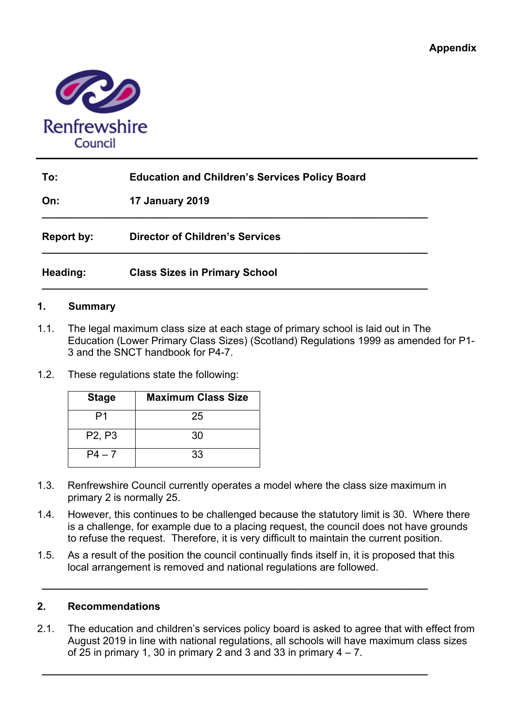

| To:        | <b>Education and Children's Services Policy Board</b> |  |
|------------|-------------------------------------------------------|--|
| On:        | <b>17 January 2019</b>                                |  |
| Report by: | <b>Director of Children's Services</b>                |  |
| Heading:   | <b>Class Sizes in Primary School</b>                  |  |

#### **1. Summary**

- 1.1. The legal maximum class size at each stage of primary school is laid out in The Education (Lower Primary Class Sizes) (Scotland) Regulations 1999 as amended for P1- 3 and the SNCT handbook for P4-7.
- 1.2. These regulations state the following:

| <b>Stage</b>                    | <b>Maximum Class Size</b> |
|---------------------------------|---------------------------|
| P1                              | 25                        |
| P <sub>2</sub> , P <sub>3</sub> | 30                        |
| $P4 - 7$                        | 33                        |

- 1.3. Renfrewshire Council currently operates a model where the class size maximum in primary 2 is normally 25.
- 1.4. However, this continues to be challenged because the statutory limit is 30. Where there is a challenge, for example due to a placing request, the council does not have grounds to refuse the request. Therefore, it is very difficult to maintain the current position.
- 1.5. As a result of the position the council continually finds itself in, it is proposed that this local arrangement is removed and national regulations are followed.

**\_\_\_\_\_\_\_\_\_\_\_\_\_\_\_\_\_\_\_\_\_\_\_\_\_\_\_\_\_\_\_\_\_\_\_\_\_\_\_\_\_\_\_\_\_\_\_\_\_\_\_\_\_\_\_\_\_\_\_\_\_\_\_\_\_\_\_**

**\_\_\_\_\_\_\_\_\_\_\_\_\_\_\_\_\_\_\_\_\_\_\_\_\_\_\_\_\_\_\_\_\_\_\_\_\_\_\_\_\_\_\_\_\_\_\_\_\_\_\_\_\_\_\_\_\_\_\_\_\_\_\_\_\_\_\_**

#### **2. Recommendations**

2.1. The education and children's services policy board is asked to agree that with effect from August 2019 in line with national regulations, all schools will have maximum class sizes of 25 in primary 1, 30 in primary 2 and 3 and 33 in primary  $4 - 7$ .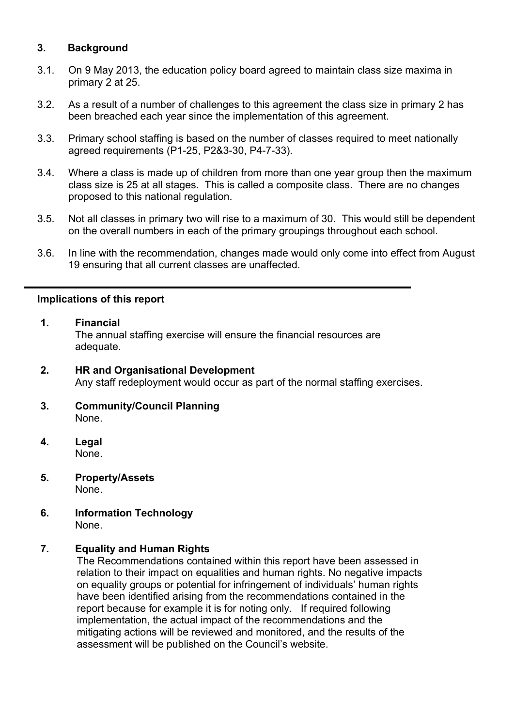## **3. Background**

- 3.1. On 9 May 2013, the education policy board agreed to maintain class size maxima in primary 2 at 25.
- 3.2. As a result of a number of challenges to this agreement the class size in primary 2 has been breached each year since the implementation of this agreement.
- 3.3. Primary school staffing is based on the number of classes required to meet nationally agreed requirements (P1-25, P2&3-30, P4-7-33).
- 3.4. Where a class is made up of children from more than one year group then the maximum class size is 25 at all stages. This is called a composite class. There are no changes proposed to this national regulation.
- 3.5. Not all classes in primary two will rise to a maximum of 30. This would still be dependent on the overall numbers in each of the primary groupings throughout each school.
- 3.6. In line with the recommendation, changes made would only come into effect from August 19 ensuring that all current classes are unaffected.

#### **Implications of this report**

- **1. Financial**  The annual staffing exercise will ensure the financial resources are adequate.
- **2. HR and Organisational Development** Any staff redeployment would occur as part of the normal staffing exercises.
- **3. Community/Council Planning**  None.
- **4. Legal**  None.
- **5. Property/Assets**  None.
- **6. Information Technology**  None.

#### **7. Equality and Human Rights**

The Recommendations contained within this report have been assessed in relation to their impact on equalities and human rights. No negative impacts on equality groups or potential for infringement of individuals' human rights have been identified arising from the recommendations contained in the report because for example it is for noting only. If required following implementation, the actual impact of the recommendations and the mitigating actions will be reviewed and monitored, and the results of the assessment will be published on the Council's website.